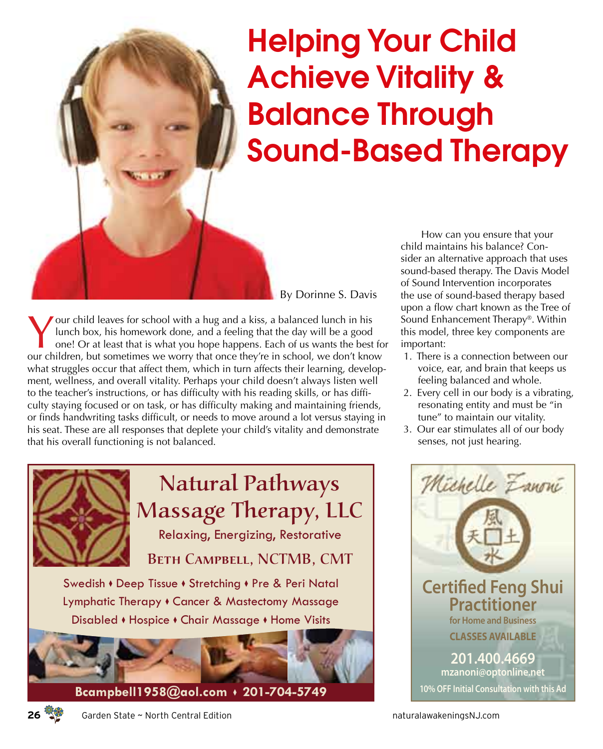## Helping Your Child Achieve Vitality & Balance Through Sound-Based Therapy

By Dorinne S. Davis

our child leaves for school with a hug and a kiss, a balanced lunch in his lunch box, his homework done, and a feeling that the day will be a good one! Or at least that is what you hope happens. Each of us wants the best for our children, but sometimes we worry that once they're in school, we don't know what struggles occur that affect them, which in turn affects their learning, development, wellness, and overall vitality. Perhaps your child doesn't always listen well to the teacher's instructions, or has difficulty with his reading skills, or has difficulty staying focused or on task, or has difficulty making and maintaining friends, or finds handwriting tasks difficult, or needs to move around a lot versus staying in his seat. These are all responses that deplete your child's vitality and demonstrate that his overall functioning is not balanced.



How can you ensure that your child maintains his balance? Consider an alternative approach that uses sound-based therapy. The Davis Model of Sound Intervention incorporates the use of sound-based therapy based upon a flow chart known as the Tree of Sound Enhancement Therapy®. Within this model, three key components are important:

- 1. There is a connection between our voice, ear, and brain that keeps us feeling balanced and whole.
- 2. Every cell in our body is a vibrating, resonating entity and must be "in tune" to maintain our vitality.
- 3. Our ear stimulates all of our body senses, not just hearing.